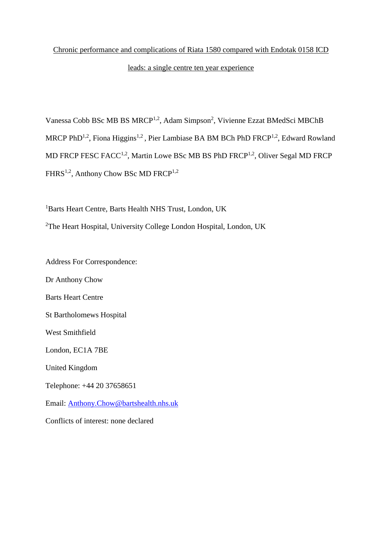# Chronic performance and complications of Riata 1580 compared with Endotak 0158 ICD

## leads: a single centre ten year experience

Vanessa Cobb BSc MB BS MRCP<sup>1,2</sup>, Adam Simpson<sup>2</sup>, Vivienne Ezzat BMedSci MBChB MRCP PhD<sup>1,2</sup>, Fiona Higgins<sup>1,2</sup>, Pier Lambiase BA BM BCh PhD FRCP<sup>1,2</sup>, Edward Rowland MD FRCP FESC FACC<sup>1,2</sup>, Martin Lowe BSc MB BS PhD FRCP<sup>1,2</sup>, Oliver Segal MD FRCP FHRS<sup>1,2</sup>, Anthony Chow BSc MD FRCP<sup>1,2</sup>

<sup>1</sup>Barts Heart Centre, Barts Health NHS Trust, London, UK <sup>2</sup>The Heart Hospital, University College London Hospital, London, UK

Address For Correspondence:

Dr Anthony Chow Barts Heart Centre St Bartholomews Hospital West Smithfield London, EC1A 7BE United Kingdom Telephone: +44 20 37658651 Email: [Anthony.Chow@bartshealth.nhs.uk](mailto:Anthony.Chow@bartshealth.nhs.uk) Conflicts of interest: none declared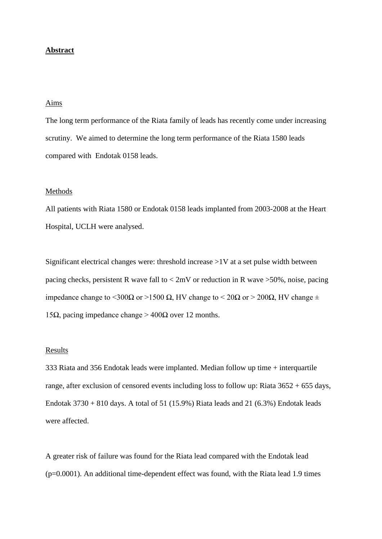## **Abstract**

## Aims

The long term performance of the Riata family of leads has recently come under increasing scrutiny. We aimed to determine the long term performance of the Riata 1580 leads compared with Endotak 0158 leads.

#### Methods

All patients with Riata 1580 or Endotak 0158 leads implanted from 2003-2008 at the Heart Hospital, UCLH were analysed.

Significant electrical changes were: threshold increase >1V at a set pulse width between pacing checks, persistent R wave fall to < 2mV or reduction in R wave >50%, noise, pacing impedance change to <300Ω or >1500 Ω, HV change to < 20Ω or > 200Ω, HV change  $\pm$ 15Ω, pacing impedance change > 400Ω over 12 months.

#### Results

333 Riata and 356 Endotak leads were implanted. Median follow up time + interquartile range, after exclusion of censored events including loss to follow up: Riata 3652 + 655 days, Endotak  $3730 + 810$  days. A total of 51 (15.9%) Riata leads and 21 (6.3%) Endotak leads were affected.

A greater risk of failure was found for the Riata lead compared with the Endotak lead  $(p=0.0001)$ . An additional time-dependent effect was found, with the Riata lead 1.9 times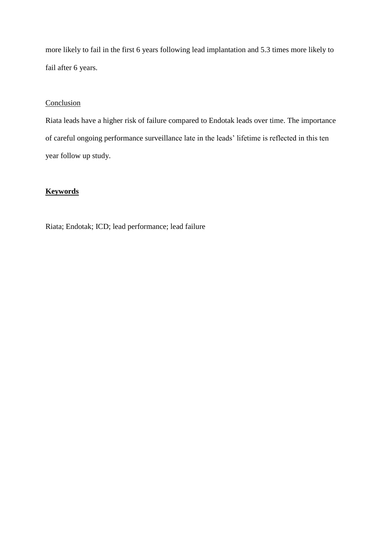more likely to fail in the first 6 years following lead implantation and 5.3 times more likely to fail after 6 years.

## Conclusion

Riata leads have a higher risk of failure compared to Endotak leads over time. The importance of careful ongoing performance surveillance late in the leads' lifetime is reflected in this ten year follow up study.

# **Keywords**

Riata; Endotak; ICD; lead performance; lead failure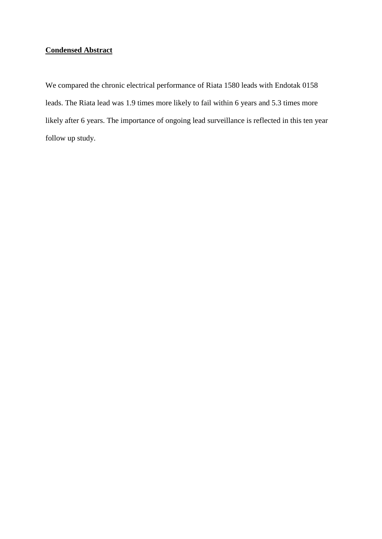# **Condensed Abstract**

We compared the chronic electrical performance of Riata 1580 leads with Endotak 0158 leads. The Riata lead was 1.9 times more likely to fail within 6 years and 5.3 times more likely after 6 years. The importance of ongoing lead surveillance is reflected in this ten year follow up study.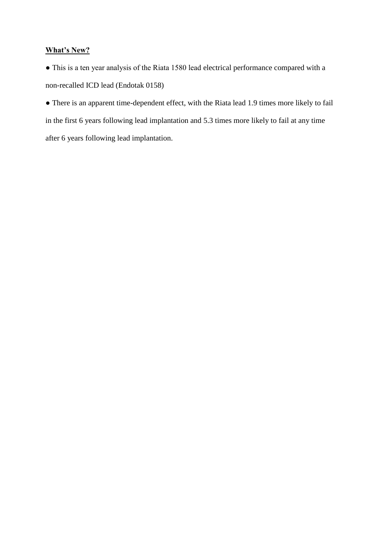# **What's New?**

● This is a ten year analysis of the Riata 1580 lead electrical performance compared with a non-recalled ICD lead (Endotak 0158)

● There is an apparent time-dependent effect, with the Riata lead 1.9 times more likely to fail in the first 6 years following lead implantation and 5.3 times more likely to fail at any time after 6 years following lead implantation.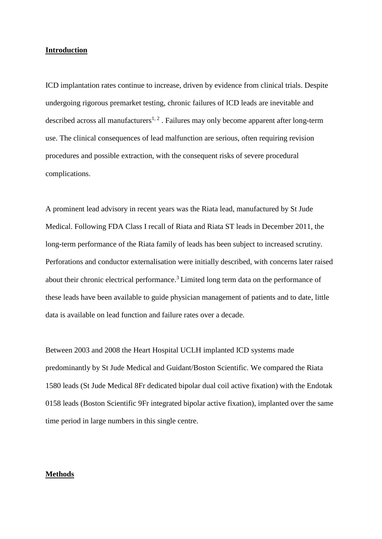### **Introduction**

ICD implantation rates continue to increase, driven by evidence from clinical trials. Despite undergoing rigorous premarket testing, chronic failures of ICD leads are inevitable and described across all manufacturers<sup>1, 2</sup>. Failures may only become apparent after long-term use. The clinical consequences of lead malfunction are serious, often requiring revision procedures and possible extraction, with the consequent risks of severe procedural complications.

A prominent lead advisory in recent years was the Riata lead, manufactured by St Jude Medical. Following FDA Class I recall of Riata and Riata ST leads in December 2011, the long-term performance of the Riata family of leads has been subject to increased scrutiny. Perforations and conductor externalisation were initially described, with concerns later raised about their chronic electrical performance.<sup>3</sup> Limited long term data on the performance of these leads have been available to guide physician management of patients and to date, little data is available on lead function and failure rates over a decade.

Between 2003 and 2008 the Heart Hospital UCLH implanted ICD systems made predominantly by St Jude Medical and Guidant/Boston Scientific. We compared the Riata 1580 leads (St Jude Medical 8Fr dedicated bipolar dual coil active fixation) with the Endotak 0158 leads (Boston Scientific 9Fr integrated bipolar active fixation), implanted over the same time period in large numbers in this single centre.

### **Methods**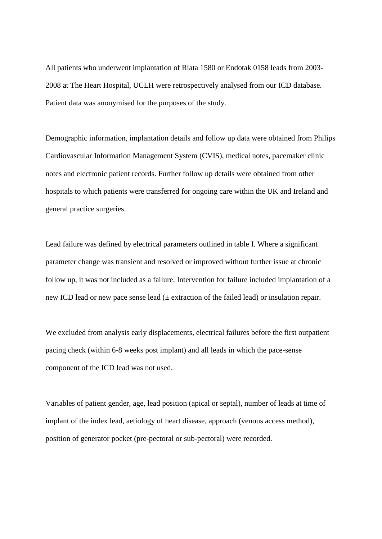All patients who underwent implantation of Riata 1580 or Endotak 0158 leads from 2003- 2008 at The Heart Hospital, UCLH were retrospectively analysed from our ICD database. Patient data was anonymised for the purposes of the study.

Demographic information, implantation details and follow up data were obtained from Philips Cardiovascular Information Management System (CVIS), medical notes, pacemaker clinic notes and electronic patient records. Further follow up details were obtained from other hospitals to which patients were transferred for ongoing care within the UK and Ireland and general practice surgeries.

Lead failure was defined by electrical parameters outlined in table I. Where a significant parameter change was transient and resolved or improved without further issue at chronic follow up, it was not included as a failure. Intervention for failure included implantation of a new ICD lead or new pace sense lead  $(±$  extraction of the failed lead) or insulation repair.

We excluded from analysis early displacements, electrical failures before the first outpatient pacing check (within 6-8 weeks post implant) and all leads in which the pace-sense component of the ICD lead was not used.

Variables of patient gender, age, lead position (apical or septal), number of leads at time of implant of the index lead, aetiology of heart disease, approach (venous access method), position of generator pocket (pre-pectoral or sub-pectoral) were recorded.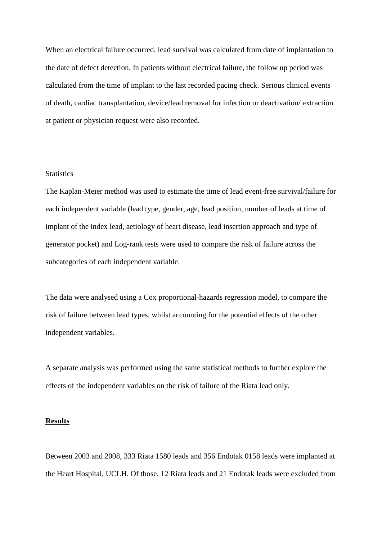When an electrical failure occurred, lead survival was calculated from date of implantation to the date of defect detection. In patients without electrical failure, the follow up period was calculated from the time of implant to the last recorded pacing check. Serious clinical events of death, cardiac transplantation, device/lead removal for infection or deactivation/ extraction at patient or physician request were also recorded.

#### **Statistics**

The Kaplan-Meier method was used to estimate the time of lead event-free survival/failure for each independent variable (lead type, gender, age, lead position, number of leads at time of implant of the index lead, aetiology of heart disease, lead insertion approach and type of generator pocket) and Log-rank tests were used to compare the risk of failure across the subcategories of each independent variable.

The data were analysed using a Cox proportional-hazards regression model, to compare the risk of failure between lead types, whilst accounting for the potential effects of the other independent variables.

A separate analysis was performed using the same statistical methods to further explore the effects of the independent variables on the risk of failure of the Riata lead only.

#### **Results**

Between 2003 and 2008, 333 Riata 1580 leads and 356 Endotak 0158 leads were implanted at the Heart Hospital, UCLH. Of those, 12 Riata leads and 21 Endotak leads were excluded from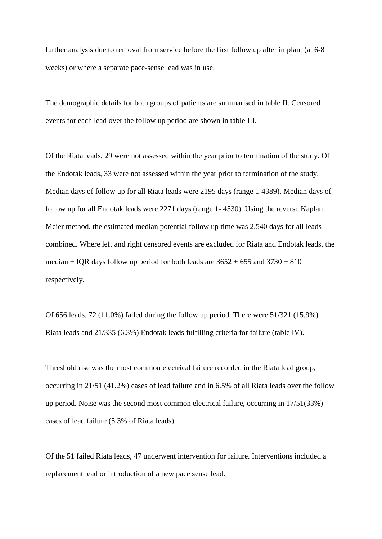further analysis due to removal from service before the first follow up after implant (at 6-8 weeks) or where a separate pace-sense lead was in use.

The demographic details for both groups of patients are summarised in table II. Censored events for each lead over the follow up period are shown in table III.

Of the Riata leads, 29 were not assessed within the year prior to termination of the study. Of the Endotak leads, 33 were not assessed within the year prior to termination of the study. Median days of follow up for all Riata leads were 2195 days (range 1-4389). Median days of follow up for all Endotak leads were 2271 days (range 1- 4530). Using the reverse Kaplan Meier method, the estimated median potential follow up time was 2,540 days for all leads combined. Where left and right censored events are excluded for Riata and Endotak leads, the median + IQR days follow up period for both leads are  $3652 + 655$  and  $3730 + 810$ respectively.

Of 656 leads, 72 (11.0%) failed during the follow up period. There were 51/321 (15.9%) Riata leads and 21/335 (6.3%) Endotak leads fulfilling criteria for failure (table IV).

Threshold rise was the most common electrical failure recorded in the Riata lead group, occurring in 21/51 (41.2%) cases of lead failure and in 6.5% of all Riata leads over the follow up period. Noise was the second most common electrical failure, occurring in 17/51(33%) cases of lead failure (5.3% of Riata leads).

Of the 51 failed Riata leads, 47 underwent intervention for failure. Interventions included a replacement lead or introduction of a new pace sense lead.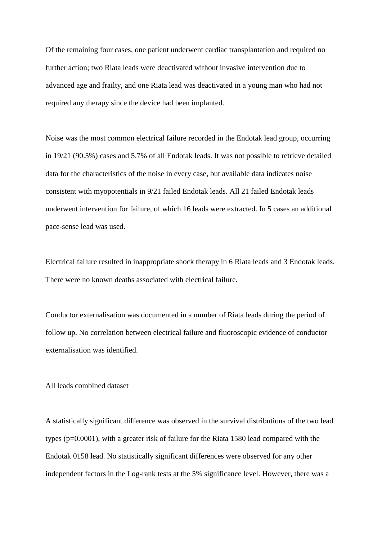Of the remaining four cases, one patient underwent cardiac transplantation and required no further action; two Riata leads were deactivated without invasive intervention due to advanced age and frailty, and one Riata lead was deactivated in a young man who had not required any therapy since the device had been implanted.

Noise was the most common electrical failure recorded in the Endotak lead group, occurring in 19/21 (90.5%) cases and 5.7% of all Endotak leads. It was not possible to retrieve detailed data for the characteristics of the noise in every case, but available data indicates noise consistent with myopotentials in 9/21 failed Endotak leads. All 21 failed Endotak leads underwent intervention for failure, of which 16 leads were extracted. In 5 cases an additional pace-sense lead was used.

Electrical failure resulted in inappropriate shock therapy in 6 Riata leads and 3 Endotak leads. There were no known deaths associated with electrical failure.

Conductor externalisation was documented in a number of Riata leads during the period of follow up. No correlation between electrical failure and fluoroscopic evidence of conductor externalisation was identified.

#### All leads combined dataset

A statistically significant difference was observed in the survival distributions of the two lead types (p=0.0001), with a greater risk of failure for the Riata 1580 lead compared with the Endotak 0158 lead. No statistically significant differences were observed for any other independent factors in the Log-rank tests at the 5% significance level. However, there was a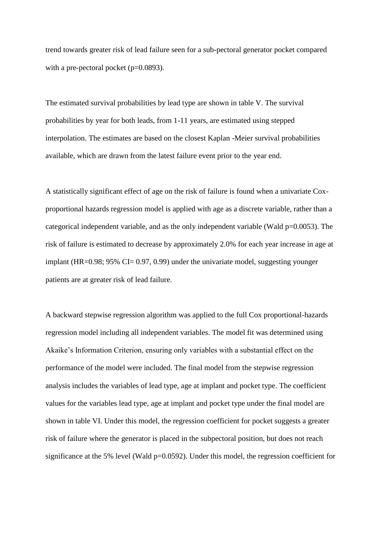trend towards greater risk of lead failure seen for a sub-pectoral generator pocket compared with a pre-pectoral pocket  $(p=0.0893)$ .

The estimated survival probabilities by lead type are shown in table V. The survival probabilities by year for both leads, from 1-11 years, are estimated using stepped interpolation. The estimates are based on the closest Kaplan -Meier survival probabilities available, which are drawn from the latest failure event prior to the year end.

A statistically significant effect of age on the risk of failure is found when a univariate Coxproportional hazards regression model is applied with age as a discrete variable, rather than a categorical independent variable, and as the only independent variable (Wald p=0.0053). The risk of failure is estimated to decrease by approximately 2.0% for each year increase in age at implant (HR=0.98; 95% CI= 0.97, 0.99) under the univariate model, suggesting younger patients are at greater risk of lead failure.

A backward stepwise regression algorithm was applied to the full Cox proportional-hazards regression model including all independent variables. The model fit was determined using Akaike's Information Criterion, ensuring only variables with a substantial effect on the performance of the model were included. The final model from the stepwise regression analysis includes the variables of lead type, age at implant and pocket type. The coefficient values for the variables lead type, age at implant and pocket type under the final model are shown in table VI. Under this model, the regression coefficient for pocket suggests a greater risk of failure where the generator is placed in the subpectoral position, but does not reach significance at the 5% level (Wald  $p=0.0592$ ). Under this model, the regression coefficient for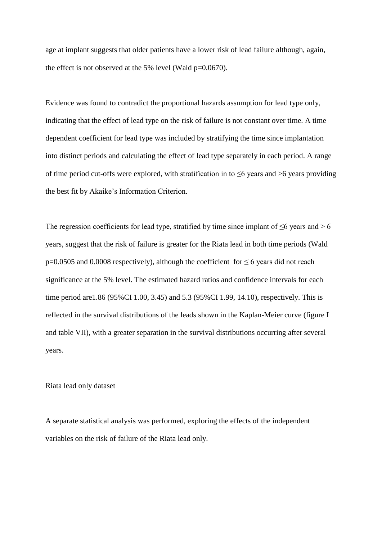age at implant suggests that older patients have a lower risk of lead failure although, again, the effect is not observed at the 5% level (Wald  $p=0.0670$ ).

Evidence was found to contradict the proportional hazards assumption for lead type only, indicating that the effect of lead type on the risk of failure is not constant over time. A time dependent coefficient for lead type was included by stratifying the time since implantation into distinct periods and calculating the effect of lead type separately in each period. A range of time period cut-offs were explored, with stratification in to ≤6 years and >6 years providing the best fit by Akaike's Information Criterion.

The regression coefficients for lead type, stratified by time since implant of  $\leq 6$  years and > 6 years, suggest that the risk of failure is greater for the Riata lead in both time periods (Wald p=0.0505 and 0.0008 respectively), although the coefficient for  $\leq 6$  years did not reach significance at the 5% level. The estimated hazard ratios and confidence intervals for each time period are1.86 (95%CI 1.00, 3.45) and 5.3 (95%CI 1.99, 14.10), respectively. This is reflected in the survival distributions of the leads shown in the Kaplan-Meier curve (figure I and table VII), with a greater separation in the survival distributions occurring after several years.

#### Riata lead only dataset

A separate statistical analysis was performed, exploring the effects of the independent variables on the risk of failure of the Riata lead only.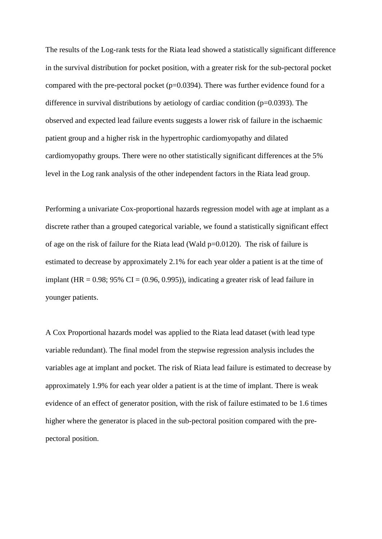The results of the Log-rank tests for the Riata lead showed a statistically significant difference in the survival distribution for pocket position, with a greater risk for the sub-pectoral pocket compared with the pre-pectoral pocket  $(p=0.0394)$ . There was further evidence found for a difference in survival distributions by aetiology of cardiac condition ( $p=0.0393$ ). The observed and expected lead failure events suggests a lower risk of failure in the ischaemic patient group and a higher risk in the hypertrophic cardiomyopathy and dilated cardiomyopathy groups. There were no other statistically significant differences at the 5% level in the Log rank analysis of the other independent factors in the Riata lead group.

Performing a univariate Cox-proportional hazards regression model with age at implant as a discrete rather than a grouped categorical variable, we found a statistically significant effect of age on the risk of failure for the Riata lead (Wald p=0.0120). The risk of failure is estimated to decrease by approximately 2.1% for each year older a patient is at the time of implant (HR =  $0.98$ ;  $95\%$  CI =  $(0.96, 0.995)$ ), indicating a greater risk of lead failure in younger patients.

A Cox Proportional hazards model was applied to the Riata lead dataset (with lead type variable redundant). The final model from the stepwise regression analysis includes the variables age at implant and pocket. The risk of Riata lead failure is estimated to decrease by approximately 1.9% for each year older a patient is at the time of implant. There is weak evidence of an effect of generator position, with the risk of failure estimated to be 1.6 times higher where the generator is placed in the sub-pectoral position compared with the prepectoral position.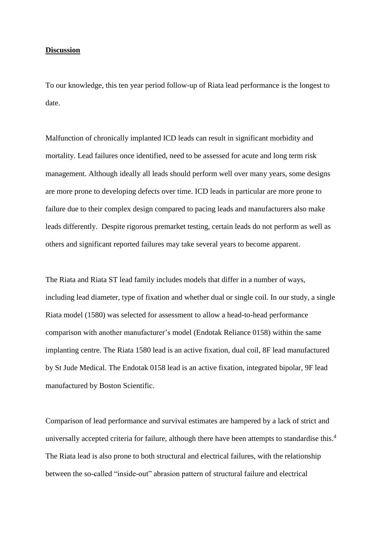### **Discussion**

To our knowledge, this ten year period follow-up of Riata lead performance is the longest to date.

Malfunction of chronically implanted ICD leads can result in significant morbidity and mortality. Lead failures once identified, need to be assessed for acute and long term risk management. Although ideally all leads should perform well over many years, some designs are more prone to developing defects over time. ICD leads in particular are more prone to failure due to their complex design compared to pacing leads and manufacturers also make leads differently. Despite rigorous premarket testing, certain leads do not perform as well as others and significant reported failures may take several years to become apparent.

The Riata and Riata ST lead family includes models that differ in a number of ways, including lead diameter, type of fixation and whether dual or single coil. In our study, a single Riata model (1580) was selected for assessment to allow a head-to-head performance comparison with another manufacturer's model (Endotak Reliance 0158) within the same implanting centre. The Riata 1580 lead is an active fixation, dual coil, 8F lead manufactured by St Jude Medical. The Endotak 0158 lead is an active fixation, integrated bipolar, 9F lead manufactured by Boston Scientific.

Comparison of lead performance and survival estimates are hampered by a lack of strict and universally accepted criteria for failure, although there have been attempts to standardise this.<sup>4</sup> The Riata lead is also prone to both structural and electrical failures, with the relationship between the so-called "inside-out" abrasion pattern of structural failure and electrical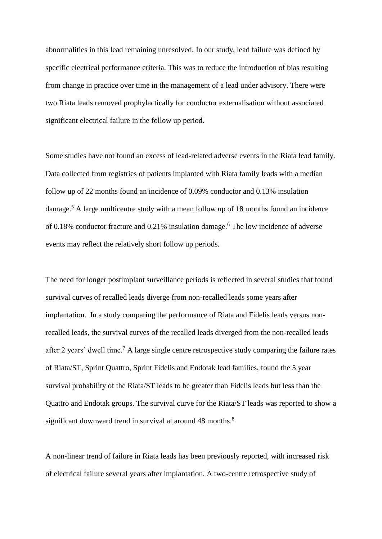abnormalities in this lead remaining unresolved. In our study, lead failure was defined by specific electrical performance criteria. This was to reduce the introduction of bias resulting from change in practice over time in the management of a lead under advisory. There were two Riata leads removed prophylactically for conductor externalisation without associated significant electrical failure in the follow up period.

Some studies have not found an excess of lead-related adverse events in the Riata lead family. Data collected from registries of patients implanted with Riata family leads with a median follow up of 22 months found an incidence of 0.09% conductor and 0.13% insulation damage. <sup>5</sup> A large multicentre study with a mean follow up of 18 months found an incidence of 0.18% conductor fracture and 0.21% insulation damage. <sup>6</sup> The low incidence of adverse events may reflect the relatively short follow up periods.

The need for longer postimplant surveillance periods is reflected in several studies that found survival curves of recalled leads diverge from non-recalled leads some years after implantation. In a study comparing the performance of Riata and Fidelis leads versus nonrecalled leads, the survival curves of the recalled leads diverged from the non-recalled leads after 2 years' dwell time.<sup>7</sup> A large single centre retrospective study comparing the failure rates of Riata/ST, Sprint Quattro, Sprint Fidelis and Endotak lead families, found the 5 year survival probability of the Riata/ST leads to be greater than Fidelis leads but less than the Quattro and Endotak groups. The survival curve for the Riata/ST leads was reported to show a significant downward trend in survival at around 48 months.<sup>8</sup>

A non-linear trend of failure in Riata leads has been previously reported, with increased risk of electrical failure several years after implantation. A two-centre retrospective study of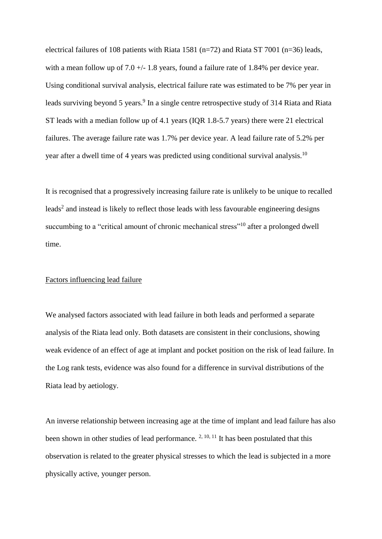electrical failures of 108 patients with Riata 1581 (n=72) and Riata ST 7001 (n=36) leads, with a mean follow up of 7.0  $+/- 1.8$  years, found a failure rate of 1.84% per device year. Using conditional survival analysis, electrical failure rate was estimated to be 7% per year in leads surviving beyond 5 years.<sup>9</sup> In a single centre retrospective study of 314 Riata and Riata ST leads with a median follow up of 4.1 years (IQR 1.8-5.7 years) there were 21 electrical failures. The average failure rate was 1.7% per device year. A lead failure rate of 5.2% per year after a dwell time of 4 years was predicted using conditional survival analysis.<sup>10</sup>

It is recognised that a progressively increasing failure rate is unlikely to be unique to recalled leads<sup>2</sup> and instead is likely to reflect those leads with less favourable engineering designs succumbing to a "critical amount of chronic mechanical stress"<sup>10</sup> after a prolonged dwell time.

### Factors influencing lead failure

We analysed factors associated with lead failure in both leads and performed a separate analysis of the Riata lead only. Both datasets are consistent in their conclusions, showing weak evidence of an effect of age at implant and pocket position on the risk of lead failure. In the Log rank tests, evidence was also found for a difference in survival distributions of the Riata lead by aetiology.

An inverse relationship between increasing age at the time of implant and lead failure has also been shown in other studies of lead performance.  $2, 10, 11$  It has been postulated that this observation is related to the greater physical stresses to which the lead is subjected in a more physically active, younger person.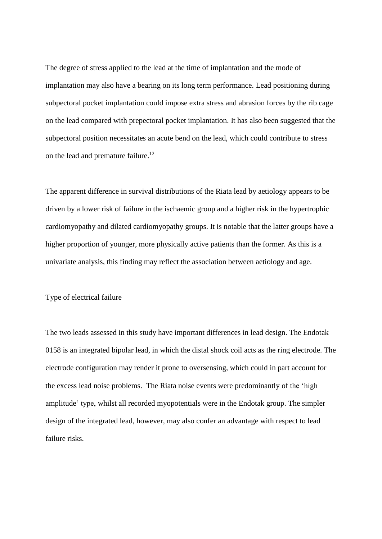The degree of stress applied to the lead at the time of implantation and the mode of implantation may also have a bearing on its long term performance. Lead positioning during subpectoral pocket implantation could impose extra stress and abrasion forces by the rib cage on the lead compared with prepectoral pocket implantation. It has also been suggested that the subpectoral position necessitates an acute bend on the lead, which could contribute to stress on the lead and premature failure.<sup>12</sup>

The apparent difference in survival distributions of the Riata lead by aetiology appears to be driven by a lower risk of failure in the ischaemic group and a higher risk in the hypertrophic cardiomyopathy and dilated cardiomyopathy groups. It is notable that the latter groups have a higher proportion of younger, more physically active patients than the former. As this is a univariate analysis, this finding may reflect the association between aetiology and age.

### Type of electrical failure

The two leads assessed in this study have important differences in lead design. The Endotak 0158 is an integrated bipolar lead, in which the distal shock coil acts as the ring electrode. The electrode configuration may render it prone to oversensing, which could in part account for the excess lead noise problems. The Riata noise events were predominantly of the 'high amplitude' type, whilst all recorded myopotentials were in the Endotak group. The simpler design of the integrated lead, however, may also confer an advantage with respect to lead failure risks.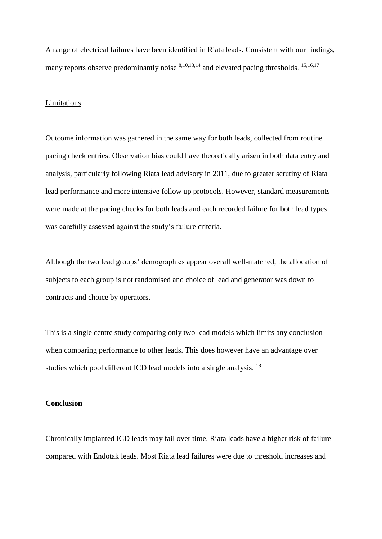A range of electrical failures have been identified in Riata leads. Consistent with our findings, many reports observe predominantly noise  $8,10,13,14$  and elevated pacing thresholds. <sup>15,16,17</sup>

### Limitations

Outcome information was gathered in the same way for both leads, collected from routine pacing check entries. Observation bias could have theoretically arisen in both data entry and analysis, particularly following Riata lead advisory in 2011, due to greater scrutiny of Riata lead performance and more intensive follow up protocols. However, standard measurements were made at the pacing checks for both leads and each recorded failure for both lead types was carefully assessed against the study's failure criteria.

Although the two lead groups' demographics appear overall well-matched, the allocation of subjects to each group is not randomised and choice of lead and generator was down to contracts and choice by operators.

This is a single centre study comparing only two lead models which limits any conclusion when comparing performance to other leads. This does however have an advantage over studies which pool different ICD lead models into a single analysis.<sup>18</sup>

### **Conclusion**

Chronically implanted ICD leads may fail over time. Riata leads have a higher risk of failure compared with Endotak leads. Most Riata lead failures were due to threshold increases and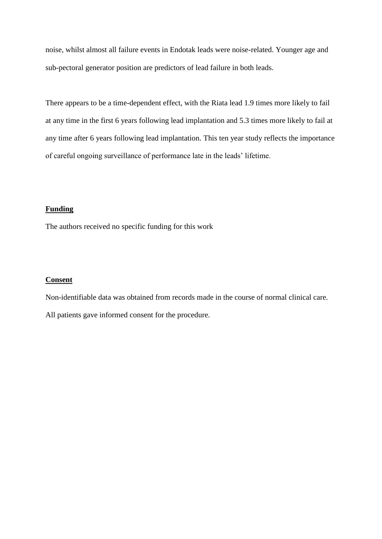noise, whilst almost all failure events in Endotak leads were noise-related. Younger age and sub-pectoral generator position are predictors of lead failure in both leads.

There appears to be a time-dependent effect, with the Riata lead 1.9 times more likely to fail at any time in the first 6 years following lead implantation and 5.3 times more likely to fail at any time after 6 years following lead implantation. This ten year study reflects the importance of careful ongoing surveillance of performance late in the leads' lifetime.

## **Funding**

The authors received no specific funding for this work

## **Consent**

Non-identifiable data was obtained from records made in the course of normal clinical care. All patients gave informed consent for the procedure.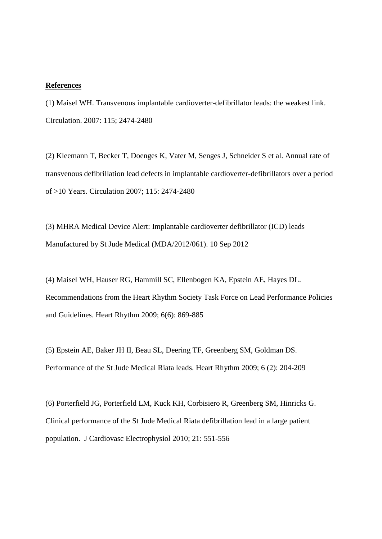#### **References**

(1) Maisel WH. Transvenous implantable cardioverter-defibrillator leads: the weakest link. Circulation. 2007: 115; 2474-2480

(2) Kleemann T, Becker T, Doenges K, Vater M, Senges J, Schneider S et al. Annual rate of transvenous defibrillation lead defects in implantable cardioverter-defibrillators over a period of >10 Years. Circulation 2007; 115: 2474-2480

(3) MHRA Medical Device Alert: Implantable cardioverter defibrillator (ICD) leads Manufactured by St Jude Medical (MDA/2012/061). 10 Sep 2012

(4) Maisel WH, Hauser RG, Hammill SC, Ellenbogen KA, Epstein AE, Hayes DL. Recommendations from the Heart Rhythm Society Task Force on Lead Performance Policies and Guidelines. Heart Rhythm 2009; 6(6): 869-885

(5) Epstein AE, Baker JH II, Beau SL, Deering TF, Greenberg SM, Goldman DS. Performance of the St Jude Medical Riata leads. Heart Rhythm 2009; 6 (2): 204-209

(6) Porterfield JG, Porterfield LM, Kuck KH, Corbisiero R, Greenberg SM, Hinricks G. Clinical performance of the St Jude Medical Riata defibrillation lead in a large patient population. J Cardiovasc Electrophysiol 2010; 21: 551-556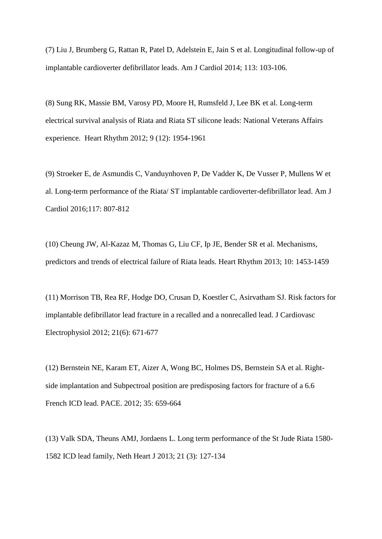(7) Liu J, Brumberg G, Rattan R, Patel D, Adelstein E, Jain S et al. Longitudinal follow-up of implantable cardioverter defibrillator leads. Am J Cardiol 2014; 113: 103-106.

(8) Sung RK, Massie BM, Varosy PD, Moore H, Rumsfeld J, Lee BK et al. Long-term electrical survival analysis of Riata and Riata ST silicone leads: National Veterans Affairs experience. Heart Rhythm 2012; 9 (12): 1954-1961

(9) Stroeker E, de Asmundis C, Vanduynhoven P, De Vadder K, De Vusser P, Mullens W et al. Long-term performance of the Riata/ ST implantable cardioverter-defibrillator lead. Am J Cardiol 2016;117: 807-812

(10) Cheung JW, Al-Kazaz M, Thomas G, Liu CF, Ip JE, Bender SR et al. Mechanisms, predictors and trends of electrical failure of Riata leads. Heart Rhythm 2013; 10: 1453-1459

(11) Morrison TB, Rea RF, Hodge DO, Crusan D, Koestler C, Asirvatham SJ. Risk factors for implantable defibrillator lead fracture in a recalled and a nonrecalled lead. J Cardiovasc Electrophysiol 2012; 21(6): 671-677

(12) Bernstein NE, Karam ET, Aizer A, Wong BC, Holmes DS, Bernstein SA et al. Rightside implantation and Subpectroal position are predisposing factors for fracture of a 6.6 French ICD lead. PACE. 2012; 35: 659-664

(13) Valk SDA, Theuns AMJ, Jordaens L. Long term performance of the St Jude Riata 1580- 1582 ICD lead family, Neth Heart J 2013; 21 (3): 127-134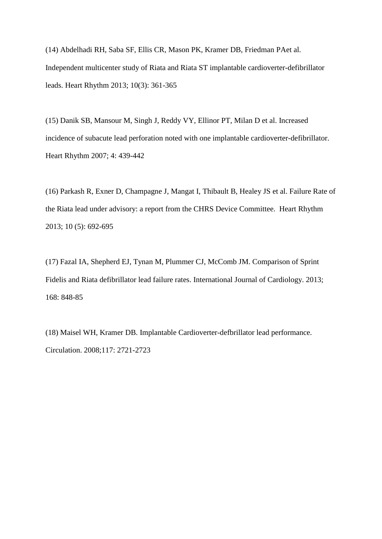(14) Abdelhadi RH, Saba SF, Ellis CR, Mason PK, Kramer DB, Friedman PAet al. Independent multicenter study of Riata and Riata ST implantable cardioverter-defibrillator leads. Heart Rhythm 2013; 10(3): 361-365

(15) Danik SB, Mansour M, Singh J, Reddy VY, Ellinor PT, Milan D et al. Increased incidence of subacute lead perforation noted with one implantable cardioverter-defibrillator. Heart Rhythm 2007; 4: 439-442

(16) Parkash R, Exner D, Champagne J, Mangat I, Thibault B, Healey JS et al. Failure Rate of the Riata lead under advisory: a report from the CHRS Device Committee. Heart Rhythm 2013; 10 (5): 692-695

(17) Fazal IA, Shepherd EJ, Tynan M, Plummer CJ, McComb JM. Comparison of Sprint Fidelis and Riata defibrillator lead failure rates. International Journal of Cardiology. 2013; 168: 848-85

(18) Maisel WH, Kramer DB. Implantable Cardioverter-defbrillator lead performance. Circulation. 2008;117: 2721-2723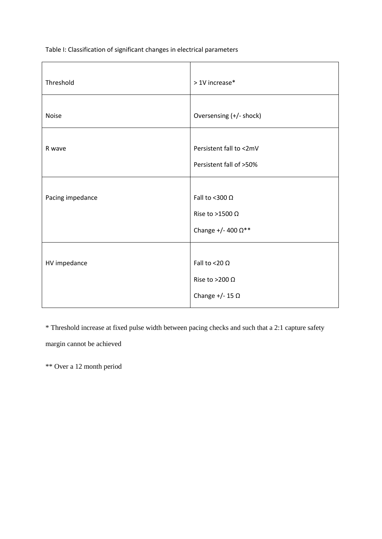Table I: Classification of significant changes in electrical parameters

| Threshold        | > 1V increase*                                                                  |
|------------------|---------------------------------------------------------------------------------|
| <b>Noise</b>     | Oversensing (+/- shock)                                                         |
| R wave           | Persistent fall to <2mV<br>Persistent fall of >50%                              |
| Pacing impedance | Fall to <300 $\Omega$<br>Rise to >1500 $\Omega$<br>Change +/- 400 $\Omega^{**}$ |
| HV impedance     | Fall to <20 $\Omega$<br>Rise to >200 $\Omega$<br>Change $+/- 15 \Omega$         |

\* Threshold increase at fixed pulse width between pacing checks and such that a 2:1 capture safety

margin cannot be achieved

\*\* Over a 12 month period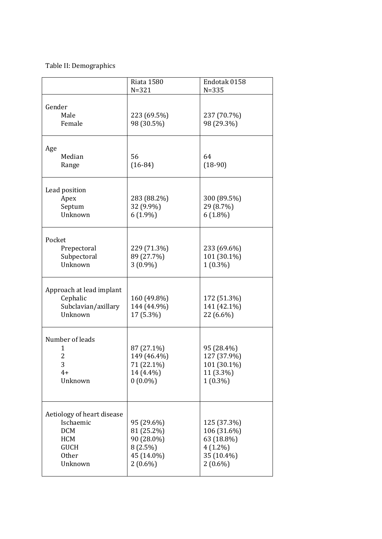# Table II: Demographics

|                                                                                                        | <b>Riata 1580</b><br>$N = 321$                                                   | Endotak 0158<br>$N = 335$                                                          |
|--------------------------------------------------------------------------------------------------------|----------------------------------------------------------------------------------|------------------------------------------------------------------------------------|
| Gender<br>Male<br>Female                                                                               | 223 (69.5%)<br>98 (30.5%)                                                        | 237 (70.7%)<br>98 (29.3%)                                                          |
| Age<br>Median<br>Range                                                                                 | 56<br>$(16-84)$                                                                  | 64<br>$(18-90)$                                                                    |
| Lead position<br>Apex<br>Septum<br>Unknown                                                             | 283 (88.2%)<br>32 (9.9%)<br>$6(1.9\%)$                                           | 300 (89.5%)<br>29 (8.7%)<br>$6(1.8\%)$                                             |
| Pocket<br>Prepectoral<br>Subpectoral<br>Unknown                                                        | 229 (71.3%)<br>89 (27.7%)<br>$3(0.9\%)$                                          | 233 (69.6%)<br>101 (30.1%)<br>$1(0.3\%)$                                           |
| Approach at lead implant<br>Cephalic<br>Subclavian/axillary<br>Unknown                                 | 160 (49.8%)<br>144 (44.9%)<br>17 (5.3%)                                          | 172 (51.3%)<br>141 (42.1%)<br>22 (6.6%)                                            |
| Number of leads<br>1<br>$\overline{2}$<br>3<br>$4+$<br>Unknown                                         | 87 (27.1%)<br>149 (46.4%)<br>71 (22.1%)<br>14 (4.4%)<br>$0(0.0\%)$               | 95 (28.4%)<br>127 (37.9%)<br>101 (30.1%)<br>11 (3.3%)<br>$1(0.3\%)$                |
| Aetiology of heart disease<br>Ischaemic<br><b>DCM</b><br><b>HCM</b><br><b>GUCH</b><br>Other<br>Unknown | 95 (29.6%)<br>81 (25.2%)<br>90 (28.0%)<br>$8(2.5\%)$<br>45 (14.0%)<br>$2(0.6\%)$ | 125 (37.3%)<br>106 (31.6%)<br>63 (18.8%)<br>$4(1.2\%)$<br>35 (10.4%)<br>$2(0.6\%)$ |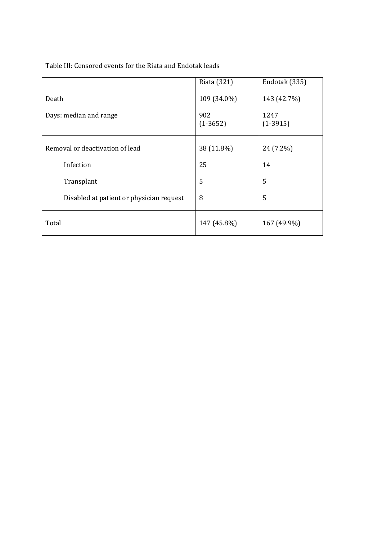Table III: Censored events for the Riata and Endotak leads

|                                          | Riata (321)                      | Endotak (335)                     |
|------------------------------------------|----------------------------------|-----------------------------------|
| Death<br>Days: median and range          | 109 (34.0%)<br>902<br>$(1-3652)$ | 143 (42.7%)<br>1247<br>$(1-3915)$ |
|                                          |                                  |                                   |
| Removal or deactivation of lead          | 38 (11.8%)                       | 24 (7.2%)                         |
| Infection                                | 25                               | 14                                |
| Transplant                               | 5                                | 5                                 |
| Disabled at patient or physician request | 8                                | 5                                 |
| Total                                    | 147 (45.8%)                      | 167 (49.9%)                       |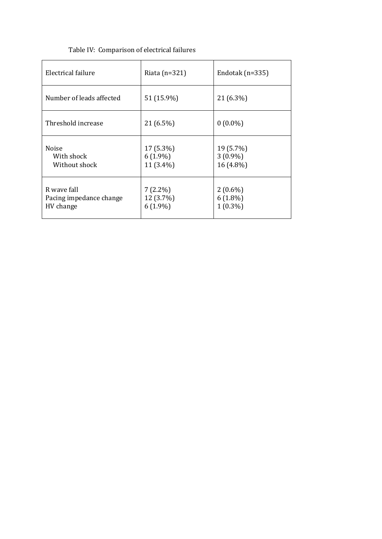| Electrical failure                                  | Riata $(n=321)$                       | Endotak ( $n=335$ )                    |
|-----------------------------------------------------|---------------------------------------|----------------------------------------|
| Number of leads affected                            | 51 (15.9%)                            | 21 (6.3%)                              |
| Threshold increase                                  | 21 (6.5%)                             | $0(0.0\%)$                             |
| Noise<br>With shock<br>Without shock                | 17 (5.3%)<br>$6(1.9\%)$<br>11 (3.4%)  | 19 (5.7%)<br>$3(0.9\%)$<br>16 (4.8%)   |
| R wave fall<br>Pacing impedance change<br>HV change | $7(2.2\%)$<br>12 (3.7%)<br>$6(1.9\%)$ | $2(0.6\%)$<br>$6(1.8\%)$<br>$1(0.3\%)$ |

# Table IV: Comparison of electrical failures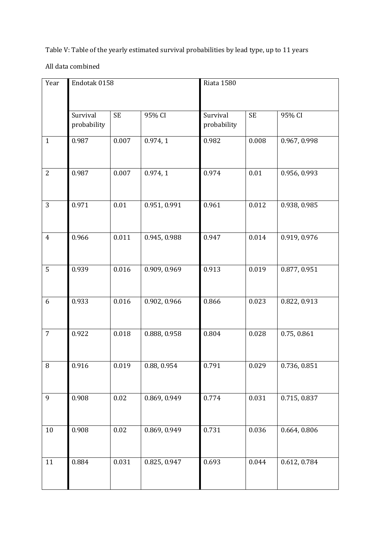Table V: Table of the yearly estimated survival probabilities by lead type, up to 11 years

All data combined

| Year           | Endotak 0158            |           |              | <b>Riata 1580</b>                    |       |              |  |
|----------------|-------------------------|-----------|--------------|--------------------------------------|-------|--------------|--|
|                | Survival<br>probability | <b>SE</b> | 95% CI       | <b>SE</b><br>Survival<br>probability |       | 95% CI       |  |
| $\mathbf{1}$   | 0.987                   | 0.007     | 0.974, 1     | 0.982                                | 0.008 | 0.967, 0.998 |  |
| $\overline{2}$ | 0.987                   | 0.007     | 0.974, 1     | 0.974                                | 0.01  | 0.956, 0.993 |  |
| 3              | 0.971                   | 0.01      | 0.951, 0.991 | 0.961                                | 0.012 | 0.938, 0.985 |  |
| $\overline{4}$ | 0.966                   | 0.011     | 0.945, 0.988 | 0.947                                | 0.014 | 0.919, 0.976 |  |
| 5              | 0.939                   | 0.016     | 0.909, 0.969 | 0.913                                | 0.019 | 0.877, 0.951 |  |
| 6              | 0.933                   | 0.016     | 0.902, 0.966 | 0.866                                | 0.023 | 0.822, 0.913 |  |
| $\overline{7}$ | 0.922                   | 0.018     | 0.888, 0.958 | 0.804                                | 0.028 | 0.75, 0.861  |  |
| $\, 8$         | 0.916                   | 0.019     | 0.88, 0.954  | 0.791                                | 0.029 | 0.736, 0.851 |  |
| 9              | 0.908                   | $0.02\,$  | 0.869, 0.949 | 0.774                                | 0.031 | 0.715, 0.837 |  |
| $10\,$         | 0.908                   | 0.02      | 0.869, 0.949 | 0.731                                | 0.036 | 0.664, 0.806 |  |
| 11             | 0.884                   | 0.031     | 0.825, 0.947 | 0.693                                | 0.044 | 0.612, 0.784 |  |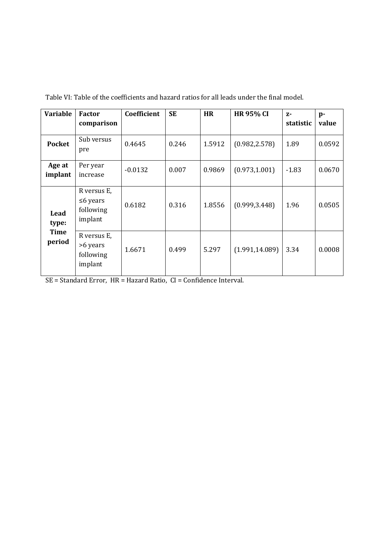| <b>Variable</b>       | <b>Factor</b><br>comparison                           | Coefficient | <b>SE</b> | <b>HR</b> | <b>HR 95% CI</b> | $Z-$<br>statistic | $p-$<br>value |
|-----------------------|-------------------------------------------------------|-------------|-----------|-----------|------------------|-------------------|---------------|
| <b>Pocket</b>         | Sub versus<br>pre                                     | 0.4645      | 0.246     | 1.5912    | (0.982, 2.578)   | 1.89              | 0.0592        |
| Age at<br>implant     | Per year<br>increase                                  | $-0.0132$   | 0.007     | 0.9869    | (0.973, 1.001)   | $-1.83$           | 0.0670        |
| Lead<br>type:         | R versus E,<br>$\leq 6$ years<br>following<br>implant | 0.6182      | 0.316     | 1.8556    | (0.999, 3.448)   | 1.96              | 0.0505        |
| <b>Time</b><br>period | R versus E,<br>>6 years<br>following<br>implant       | 1.6671      | 0.499     | 5.297     | (1.991, 14.089)  | 3.34              | 0.0008        |

Table VI: Table of the coefficients and hazard ratios for all leads under the final model.

SE = Standard Error, HR = Hazard Ratio, CI = Confidence Interval.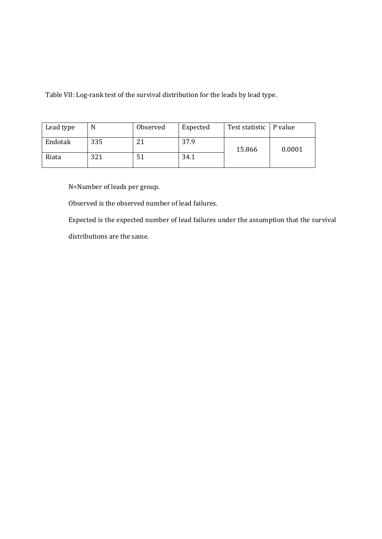Table VII: Log-rank test of the survival distribution for the leads by lead type.

| Lead type | N   | Observed | Expected | Test statistic   P value |        |
|-----------|-----|----------|----------|--------------------------|--------|
| Endotak   | 335 |          | 37.9     | 15.866                   | 0.0001 |
| Riata     | 321 | 51       | 34.1     |                          |        |

N=Number of leads per group.

Observed is the observed number of lead failures.

Expected is the expected number of lead failures under the assumption that the survival distributions are the same.